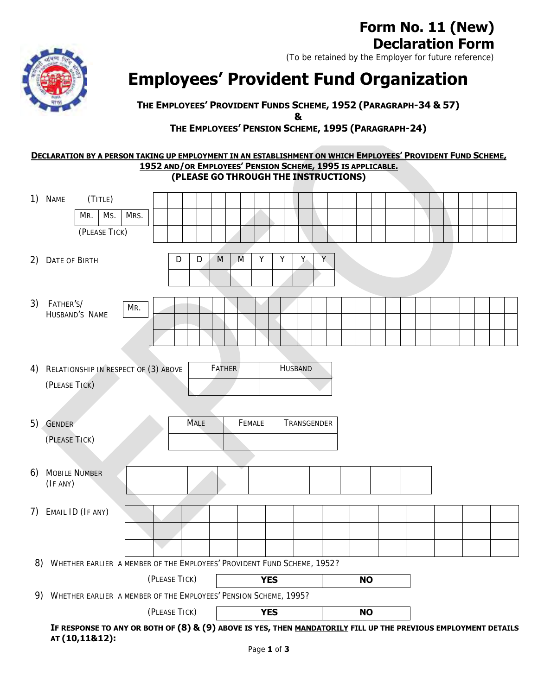# **Form No. 11 (New) Declaration Form**

(To be retained by the Employer for future reference)



**Employees' Provident Fund Organization**

**THE EMPLOYEES' PROVIDENT FUNDS SCHEME, 1952 (PARAGRAPH-34 & 57)**

**&**

# **THE EMPLOYEES' PENSION SCHEME, 1995 (PARAGRAPH-24)**

## **DECLARATION BY A PERSON TAKING UP EMPLOYMENT IN AN ESTABLISHMENT ON WHICH EMPLOYEES' PROVIDENT FUND SCHEME, 1952 AND/OR EMPLOYEES' PENSION SCHEME, 1995 IS APPLICABLE. (PLEASE GO THROUGH THE INSTRUCTIONS)**

|    | 1) NAME<br>(TITLE)<br>Ms.<br>MRS.<br>MR.<br>(PLEASE TICK)                                                                        |               |               |                |             |           |           |  |  |  |
|----|----------------------------------------------------------------------------------------------------------------------------------|---------------|---------------|----------------|-------------|-----------|-----------|--|--|--|
|    | 2) DATE OF BIRTH                                                                                                                 | D<br>M<br>D   | Υ<br>M        | Y              | Ÿ.<br>Y.    |           |           |  |  |  |
| 3) | FATHER'S/<br>MR.<br>HUSBAND'S NAME                                                                                               |               |               |                |             |           |           |  |  |  |
|    | 4) RELATIONSHIP IN RESPECT OF (3) ABOVE<br>(PLEASE TICK)                                                                         |               | <b>FATHER</b> | <b>HUSBAND</b> |             |           |           |  |  |  |
|    | 5) GENDER<br>(PLEASE TICK)                                                                                                       | <b>MALE</b>   | FEMALE        |                | TRANSGENDER |           |           |  |  |  |
| 6) | MOBILE NUMBER<br>(IF ANY)                                                                                                        |               |               |                |             |           |           |  |  |  |
|    | 7) EMAIL ID (IF ANY)                                                                                                             |               |               |                |             |           |           |  |  |  |
| 8) | WHETHER EARLIER A MEMBER OF THE EMPLOYEES' PROVIDENT FUND SCHEME, 1952?                                                          |               |               |                |             |           |           |  |  |  |
|    |                                                                                                                                  | (PLEASE TICK) |               | <b>YES</b>     |             | <b>NO</b> |           |  |  |  |
|    | 9) WHETHER EARLIER A MEMBER OF THE EMPLOYEES' PENSION SCHEME, 1995?                                                              |               |               |                |             |           |           |  |  |  |
|    | (PLEASE TICK)                                                                                                                    |               |               | <b>YES</b>     |             |           | <b>NO</b> |  |  |  |
|    | IF RESPONSE TO ANY OR BOTH OF (8) & (9) ABOVE IS YES, THEN MANDATORILY FILL UP THE PREVIOUS EMPLOYMENT DETAILS<br>AT (10,11&12): |               |               |                |             |           |           |  |  |  |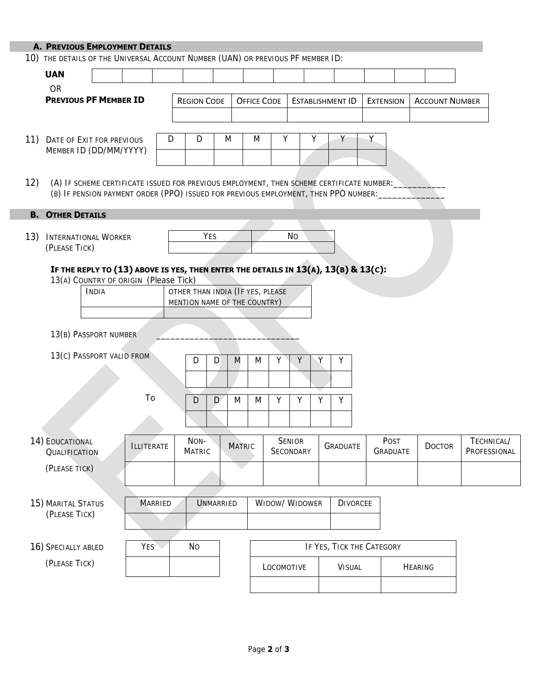|     | <b>A. PREVIOUS EMPLOYMENT DETAILS</b>                                                                                                                                            |                   |   |                       |                  |                                                                  |                     |                         |                 |                           |                         |                       |                            |
|-----|----------------------------------------------------------------------------------------------------------------------------------------------------------------------------------|-------------------|---|-----------------------|------------------|------------------------------------------------------------------|---------------------|-------------------------|-----------------|---------------------------|-------------------------|-----------------------|----------------------------|
|     | 10) THE DETAILS OF THE UNIVERSAL ACCOUNT NUMBER (UAN) OR PREVIOUS PF MEMBER ID:                                                                                                  |                   |   |                       |                  |                                                                  |                     |                         |                 |                           |                         |                       |                            |
|     | <b>UAN</b>                                                                                                                                                                       |                   |   |                       |                  |                                                                  |                     |                         |                 |                           |                         |                       |                            |
|     | <b>OR</b><br><b>PREVIOUS PF MEMBER ID</b>                                                                                                                                        |                   |   | <b>REGION CODE</b>    |                  | <b>OFFICE CODE</b>                                               |                     | <b>ESTABLISHMENT ID</b> |                 |                           | <b>EXTENSION</b>        | <b>ACCOUNT NUMBER</b> |                            |
|     |                                                                                                                                                                                  |                   |   |                       |                  |                                                                  |                     |                         |                 |                           |                         |                       |                            |
|     | 11) DATE OF EXIT FOR PREVIOUS<br>MEMBER ID (DD/MM/YYYY)                                                                                                                          |                   | D | D                     | M                | M                                                                | Υ                   | Υ                       |                 | Υ                         |                         |                       |                            |
| 12) | (A) IF SCHEME CERTIFICATE ISSUED FOR PREVIOUS EMPLOYMENT, THEN SCHEME CERTIFICATE NUMBER:<br>(B) IF PENSION PAYMENT ORDER (PPO) ISSUED FOR PREVIOUS EMPLOYMENT, THEN PPO NUMBER: |                   |   |                       |                  |                                                                  |                     |                         |                 |                           |                         |                       |                            |
|     | <b>B. OTHER DETAILS</b>                                                                                                                                                          |                   |   |                       |                  |                                                                  |                     |                         |                 |                           |                         |                       |                            |
| 13) | <b>INTERNATIONAL WORKER</b><br>(PLEASE TICK)                                                                                                                                     |                   |   | YES                   |                  |                                                                  |                     | <b>No</b>               |                 |                           |                         |                       |                            |
|     | IF THE REPLY TO (13) ABOVE IS YES, THEN ENTER THE DETAILS IN 13(A), 13(B) & 13(C):<br>13(A) COUNTRY OF ORIGIN (Please Tick)<br>INDIA                                             |                   |   |                       |                  | OTHER THAN INDIA (IF YES, PLEASE<br>MENTION NAME OF THE COUNTRY) |                     |                         |                 |                           |                         |                       |                            |
|     | 13(B) PASSPORT NUMBER                                                                                                                                                            |                   |   |                       |                  |                                                                  |                     |                         |                 |                           |                         |                       |                            |
|     | 13(c) PASSPORT VALID FROM                                                                                                                                                        |                   |   | D                     | D                | M<br>M                                                           | Y                   | Y                       | Υ               |                           |                         |                       |                            |
|     |                                                                                                                                                                                  |                   |   |                       |                  |                                                                  |                     |                         |                 |                           |                         |                       |                            |
|     |                                                                                                                                                                                  | To                |   | D                     | $\mathsf{D}$     | M<br>M                                                           | Υ                   | Y<br>Υ                  | Y               |                           |                         |                       |                            |
|     |                                                                                                                                                                                  |                   |   |                       |                  |                                                                  |                     |                         |                 |                           |                         |                       |                            |
|     | 14) EDUCATIONAL<br>QUALIFICATION                                                                                                                                                 | <b>ILLITERATE</b> |   | NON-<br><b>MATRIC</b> |                  | MATRIC                                                           | SENIOR<br>SECONDARY |                         | <b>GRADUATE</b> |                           | Post<br><b>GRADUATE</b> | <b>DOCTOR</b>         | TECHNICAL/<br>PROFESSIONAL |
|     | (PLEASE TICK)                                                                                                                                                                    |                   |   |                       |                  |                                                                  |                     |                         |                 |                           |                         |                       |                            |
|     | 15) MARITAL STATUS<br>(PLEASE TICK)                                                                                                                                              | <b>MARRIED</b>    |   |                       | <b>UNMARRIED</b> |                                                                  |                     | WIDOW/WIDOWER           |                 | <b>DIVORCEE</b>           |                         |                       |                            |
|     | 16) SPECIALLY ABLED                                                                                                                                                              | YES \             |   | <b>No</b>             |                  |                                                                  |                     |                         |                 | IF YES, TICK THE CATEGORY |                         |                       |                            |
|     | (PLEASE TICK)                                                                                                                                                                    |                   |   |                       |                  |                                                                  | LOCOMOTIVE          |                         |                 | VISUAL                    |                         | <b>HEARING</b>        |                            |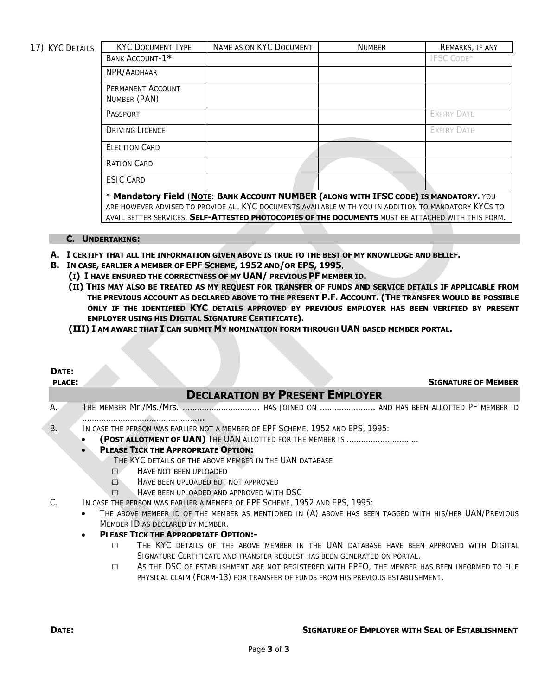17) KYC DETAILS

| <b>KYC DOCUMENT TYPE</b>                                                                             | NAME AS ON KYC DOCUMENT                                                                            | <b>NUMBER</b> | REMARKS, IF ANY    |  |  |  |  |  |  |
|------------------------------------------------------------------------------------------------------|----------------------------------------------------------------------------------------------------|---------------|--------------------|--|--|--|--|--|--|
| BANK ACCOUNT-1*                                                                                      |                                                                                                    |               | <b>IFSC CODE*</b>  |  |  |  |  |  |  |
| NPR/AADHAAR                                                                                          |                                                                                                    |               |                    |  |  |  |  |  |  |
| PERMANENT ACCOUNT                                                                                    |                                                                                                    |               |                    |  |  |  |  |  |  |
| NUMBER (PAN)                                                                                         |                                                                                                    |               |                    |  |  |  |  |  |  |
| PASSPORT                                                                                             |                                                                                                    |               | <b>EXPIRY DATE</b> |  |  |  |  |  |  |
| <b>DRIVING LICENCE</b>                                                                               |                                                                                                    |               | <b>EXPIRY DATE</b> |  |  |  |  |  |  |
| <b>FLECTION CARD</b>                                                                                 |                                                                                                    |               |                    |  |  |  |  |  |  |
| RATION CARD                                                                                          |                                                                                                    |               |                    |  |  |  |  |  |  |
| <b>ESIC CARD</b>                                                                                     |                                                                                                    |               |                    |  |  |  |  |  |  |
| * Mandatory Field (NOTE: BANK ACCOUNT NUMBER (ALONG WITH IFSC CODE) IS MANDATORY. YOU                |                                                                                                    |               |                    |  |  |  |  |  |  |
| ARE HOWEVER ADVISED TO PROVIDE ALL KYC DOCUMENTS AVAILABLE WITH YOU IN ADDITION TO MANDATORY KYCS TO |                                                                                                    |               |                    |  |  |  |  |  |  |
|                                                                                                      | AVAIL BETTER SERVICES. SELF-ATTESTED PHOTOCOPIES OF THE DOCUMENTS MUST BE ATTACHED WITH THIS FORM. |               |                    |  |  |  |  |  |  |

#### **C. UNDERTAKING:**

- **A. I CERTIFY THAT ALL THE INFORMATION GIVEN ABOVE IS TRUE TO THE BEST OF MY KNOWLEDGE AND BELIEF.**
- **B. IN CASE, EARLIER A MEMBER OF EPF SCHEME, 1952 AND/OR EPS, 1995**,
	- **(I) I HAVE ENSURED THE CORRECTNESS OF MY UAN/ PREVIOUS PF MEMBER ID.**
	- **(II) THIS MAY ALSO BE TREATED AS MY REQUEST FOR TRANSFER OF FUNDS AND SERVICE DETAILS IF APPLICABLE FROM THE PREVIOUS ACCOUNT AS DECLARED ABOVE TO THE PRESENT P.F. ACCOUNT. (THE TRANSFER WOULD BE POSSIBLE ONLY IF THE IDENTIFIED KYC DETAILS APPROVED BY PREVIOUS EMPLOYER HAS BEEN VERIFIED BY PRESENT EMPLOYER USING HIS DIGITAL SIGNATURE CERTIFICATE).**
	- **(III) I AM AWARE THAT I CAN SUBMIT MY NOMINATION FORM THROUGH UAN BASED MEMBER PORTAL.**

### **DATE:**

#### **PLACE: SIGNATURE OF MEMBER**

## **DECLARATION BY PRESENT EMPLOYER**

- A. THE MEMBER **Mr./Ms./Mrs.** …………………………………… HAS JOINED ON ……………………… AND HAS BEEN ALLOTTED PF MEMBER ID …………………………………………...
- B. IN CASE THE PERSON WAS EARLIER NOT A MEMBER OF EPF SCHEME, 1952 AND EPS, 1995:
	- **(POST ALLOTMENT OF UAN)** THE UAN ALLOTTED FOR THE MEMBER IS …………………………

#### **PLEASE TICK THE APPROPRIATE OPTION:**

- THE KYC DETAILS OF THE ABOVE MEMBER IN THE UAN DATABASE
- □ HAVE NOT BEEN UPLOADED
- □ HAVE BEEN UPLOADED BUT NOT APPROVED
- □ HAVE BEEN UPLOADED AND APPROVED WITH DSC
- C. IN CASE THE PERSON WAS EARLIER A MEMBER OF EPF SCHEME, 1952 AND EPS, 1995:
	- THE ABOVE MEMBER ID OF THE MEMBER AS MENTIONED IN (A) ABOVE HAS BEEN TAGGED WITH HIS/HER UAN/PREVIOUS MEMBER ID AS DECLARED BY MEMBER.
		- **PLEASE TICK THE APPROPRIATE OPTION:-** 
			- □ THE KYC DETAILS OF THE ABOVE MEMBER IN THE UAN DATABASE HAVE BEEN APPROVED WITH DIGITAL SIGNATURE CERTIFICATE AND TRANSFER REQUEST HAS BEEN GENERATED ON PORTAL.
			- □ AS THE DSC OF ESTABLISHMENT ARE NOT REGISTERED WITH EPFO, THE MEMBER HAS BEEN INFORMED TO FILE PHYSICAL CLAIM (FORM-13) FOR TRANSFER OF FUNDS FROM HIS PREVIOUS ESTABLISHMENT.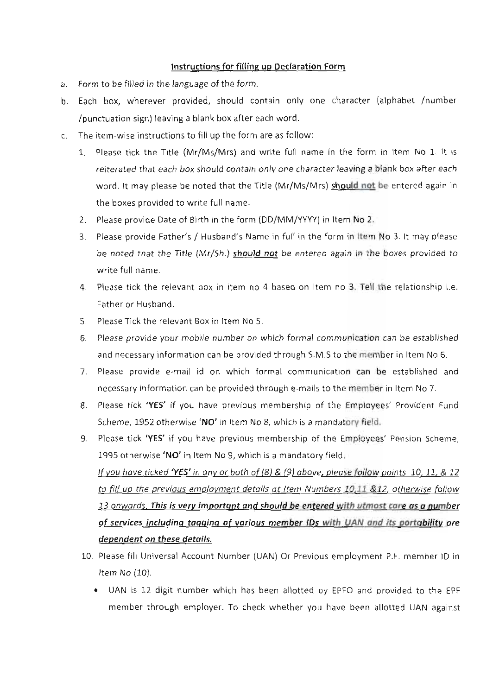## Instructions for filling up Declaration Form

- a. Form to be filled in the language of the form.
- b. Each box, wherever provided, should contain only one character (alphabet /number /punctuation sign) leaving a blank box after each word.
- c. The item-wise instructions to fill up the form are as follow:
	- 1. Please tick the Title (Mr/Ms/Mrs) and write full name in the form in Item No 1. It is reiterated that each box should contain only one character leaving a blank box after each word. It may please be noted that the Title (Mr/Ms/Mrs) should not be entered again in the boxes provided to write full name.
	- 2. Please provide Date of Birth in the form (DD/MM/YYYY) in Item No 2.
	- 3. Please provide Father's / Husband's Name in full in the form in Item No 3. It may please be noted that the Title (Mr/Sh.) should not be entered again in the boxes provided to write full name.
	- 4. Please tick the relevant box in item no 4 based on Item no 3. Tell the relationship i.e. Father or Husband.
	- 5. Please Tick the relevant Box in Item No 5.
	- 6. Please provide your mobile number on which formal communication can be established and necessary information can be provided through S.M.S to the member in Item No 6.
	- 7. Please provide e-mail id on which formal communication can be established and necessary information can be provided through e-mails to the member in Item No 7.
	- 8. Please tick 'YES' if you have previous membership of the Employees' Provident Fund Scheme, 1952 otherwise 'NO' in Item No 8, which is a mandatory field.
	- 9. Please tick 'YES' if you have previous membership of the Employees' Pension Scheme, 1995 otherwise 'NO' in Item No 9, which is a mandatory field. If you have ticked 'YES' in any or both of  $(8)$  &  $(9)$  above, please follow points 10, 11, & 12 to fill up the previous employment details at Item Numbers 10,11 &12, otherwise follow 13 onwards. This is very important and should be entered with utmost care as a number of services including tagging of various member IDs with UAN and its portability are dependent on these details.
	- 10. Please fill Universal Account Number (UAN) Or Previous employment P.F. member 1D in Item No (10).
		- . UAN is 12 digit number which has been allotted by EPFO and provided to the EPF member through employer. To check whether you have been allotted UAN against